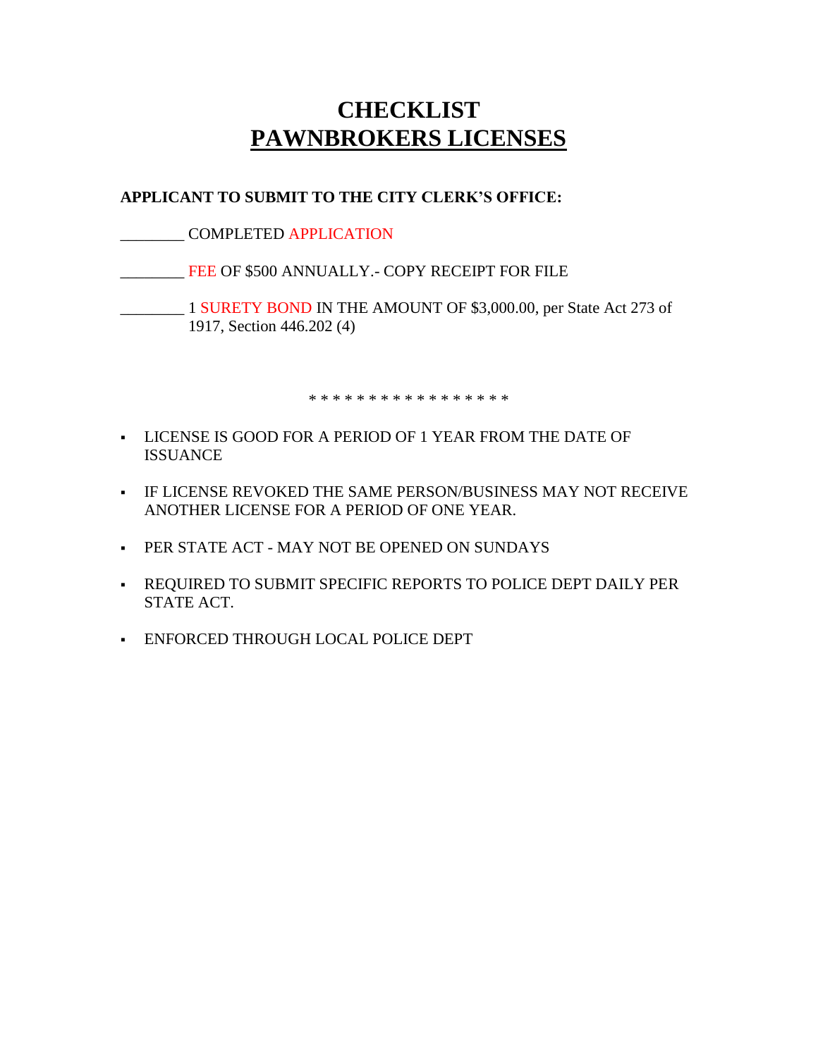## **CHECKLIST PAWNBROKERS LICENSES**

## **APPLICANT TO SUBMIT TO THE CITY CLERK'S OFFICE:**

\_\_\_\_\_\_\_\_ COMPLETED APPLICATION

**EXECUTE:** FEE OF \$500 ANNUALLY.- COPY RECEIPT FOR FILE

\_\_\_\_\_\_\_\_ 1 SURETY BOND IN THE AMOUNT OF \$3,000.00, per State Act 273 of 1917, Section 446.202 (4)

\* \* \* \* \* \* \* \* \* \* \* \* \* \* \* \* \*

- LICENSE IS GOOD FOR A PERIOD OF 1 YEAR FROM THE DATE OF ISSUANCE
- IF LICENSE REVOKED THE SAME PERSON/BUSINESS MAY NOT RECEIVE ANOTHER LICENSE FOR A PERIOD OF ONE YEAR.
- **PER STATE ACT MAY NOT BE OPENED ON SUNDAYS**
- REQUIRED TO SUBMIT SPECIFIC REPORTS TO POLICE DEPT DAILY PER STATE ACT.
- ENFORCED THROUGH LOCAL POLICE DEPT